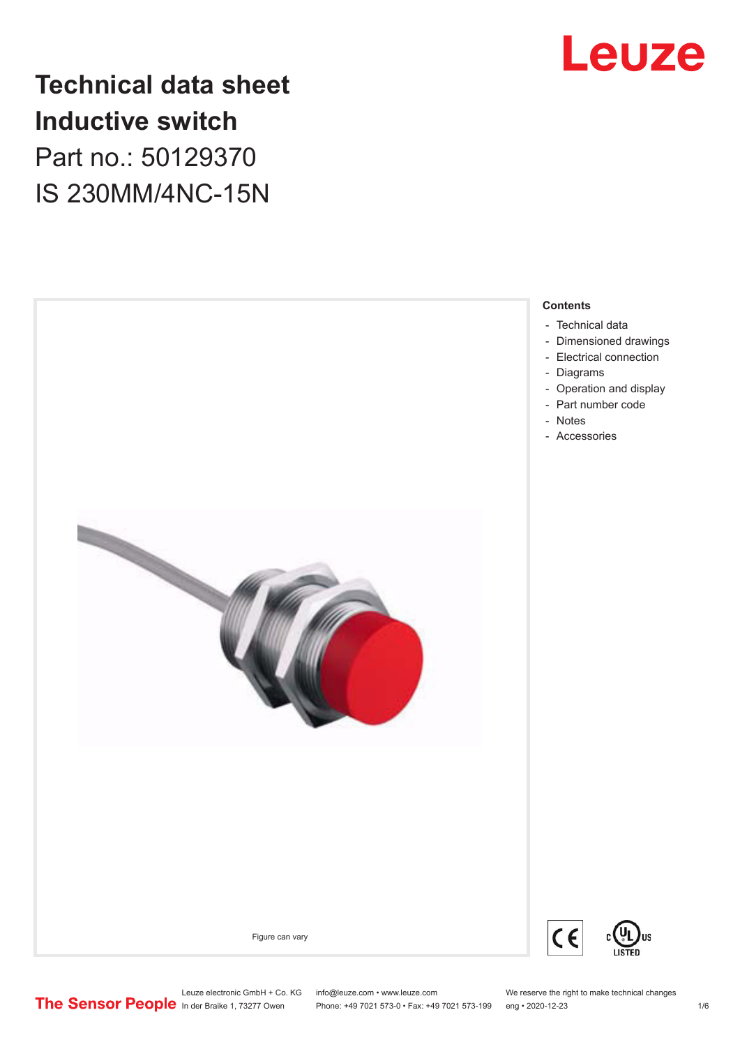

# **Technical data sheet Inductive switch** Part no.: 50129370 IS 230MM/4NC-15N



Phone: +49 7021 573-0 • Fax: +49 7021 573-199 eng • 2020-12-23 1 76

Leuze electronic GmbH + Co. KG info@leuze.com • www.leuze.com We reserve the right to make technical changes<br>
The Sensor People in der Braike 1, 73277 Owen Phone: +49 7021 573-0 • Fax: +49 7021 573-199 eng • 2020-12-23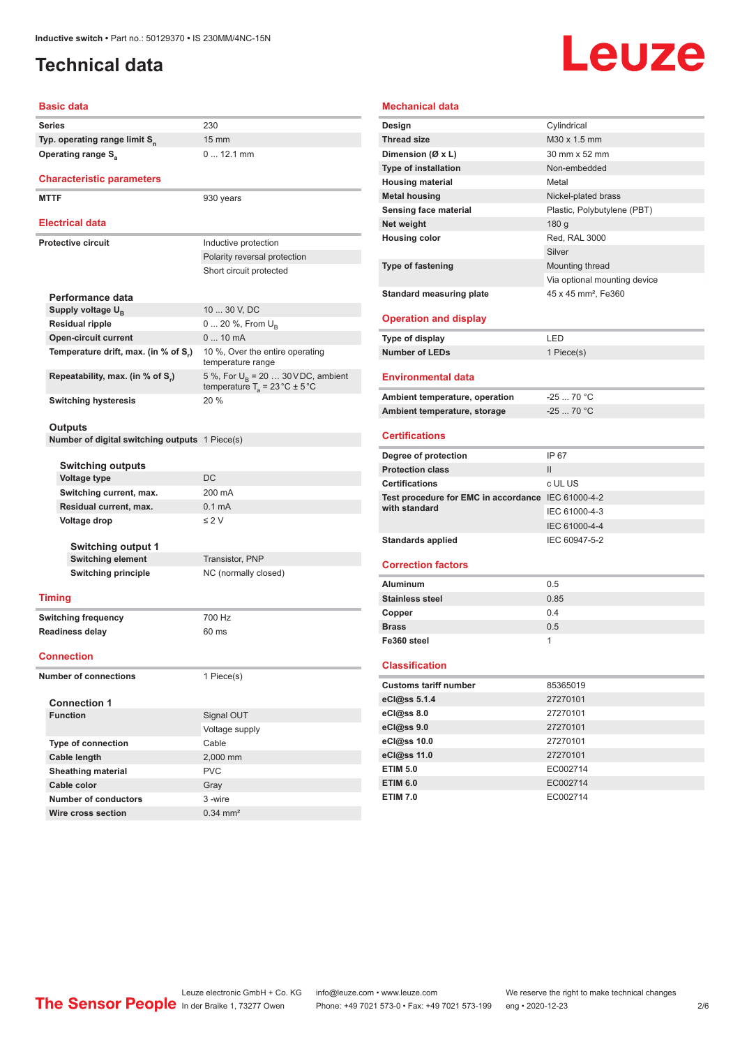# <span id="page-1-0"></span>**Technical data**

# Leuze

#### **Basic data**

**Series** 230 **Typ. operating range limit S<sup>n</sup> Operating range S<sub>a</sub>** 

#### **Characteristic parameters**

MTTF 930 years

#### **Electrical data**

| Electrical data                      |                                                                                                |  |  |
|--------------------------------------|------------------------------------------------------------------------------------------------|--|--|
| Protective circuit                   | Inductive protection                                                                           |  |  |
|                                      | Polarity reversal protection                                                                   |  |  |
|                                      | Short circuit protected                                                                        |  |  |
|                                      |                                                                                                |  |  |
| Performance data                     |                                                                                                |  |  |
| Supply voltage U <sub>n</sub>        | 10  30 V, DC                                                                                   |  |  |
| <b>Residual ripple</b>               | $0 20 \%$ , From $U_{p}$                                                                       |  |  |
| <b>Open-circuit current</b>          | $010$ mA                                                                                       |  |  |
| Temperature drift, max. (in % of S.) | 10 %, Over the entire operating<br>temperature range                                           |  |  |
| Repeatability, max. (in % of S.)     | 5 %, For $U_{\rm B}$ = 20  30 VDC, ambient<br>temperature $T_a = 23 \degree C \pm 5 \degree C$ |  |  |
| <b>Switching hysteresis</b>          | $20\%$                                                                                         |  |  |

15 mm

0 ... 12.1 mm

#### **Outputs**

**Number of digital switching outputs** 1 Piece(s)

| <b>Switching outputs</b>   |                      |
|----------------------------|----------------------|
| <b>Voltage type</b>        | DC                   |
| Switching current, max.    | 200 mA               |
| Residual current, max.     | $0.1 \text{ mA}$     |
| Voltage drop               | $\leq$ 2 V           |
|                            |                      |
| <b>Switching output 1</b>  |                      |
| <b>Switching element</b>   | Transistor, PNP      |
| <b>Switching principle</b> | NC (normally closed) |

#### **Timing**

**Switching frequency** 700 Hz **Readiness delay** 60 ms

#### **Connection**

**Number of connections** 1 Piece(s)

| <b>Connection 1</b>       |                       |  |  |
|---------------------------|-----------------------|--|--|
| <b>Function</b>           | Signal OUT            |  |  |
|                           | Voltage supply        |  |  |
| <b>Type of connection</b> | Cable                 |  |  |
| Cable length              | 2,000 mm              |  |  |
| <b>Sheathing material</b> | <b>PVC</b>            |  |  |
| Cable color               | Gray                  |  |  |
| Number of conductors      | 3-wire                |  |  |
| Wire cross section        | $0.34 \, \text{mm}^2$ |  |  |

#### **Mechanical data Design** Cylindrical **Thread size** M30 x 1.5 mm **Dimension (Ø x L)** 30 mm x 52 mm **Type of installation** Non-embedded **Housing material Metal Metal housing** Nickel-plated brass **Sensing face material** Plastic, Polybutylene (PBT) **Net weight** 180 g **Housing color** Red, RAL 3000 Silver **Type of fastening** Mounting thread Via optional mounting device **Standard measuring plate** 45 x 45 mm<sup>2</sup>, Fe360 **Operation and display Type of display** LED **Number of LEDs** 1 Piece(s) **Environmental data Ambient temperature, operation** -25 ... 70 °C **Ambient temperature, storage** -25 ... 70 °C **Certifications Degree of protection** IP 67 **Protection class** II **Certifications** c UL US **Test procedure for EMC in accordance**  IEC 61000-4-2 **with standard** IEC 61000-4-3 IEC 61000-4-4 Standards applied<br>
IEC 60947-5-2 **Correction factors Aluminum** 0.5 **Stainless steel** 0.85 **Copper** 0.4 **Brass** 0.5 **Fe360 steel** 1 **Classification**

| <b>Customs tariff number</b> | 85365019 |  |
|------------------------------|----------|--|
| eCl@ss 5.1.4                 | 27270101 |  |
| eCl@ss 8.0                   | 27270101 |  |
| eCl@ss 9.0                   | 27270101 |  |
| eCl@ss 10.0                  | 27270101 |  |
| eCl@ss 11.0                  | 27270101 |  |
| <b>ETIM 5.0</b>              | EC002714 |  |
| <b>ETIM 6.0</b>              | EC002714 |  |
| <b>ETIM 7.0</b>              | EC002714 |  |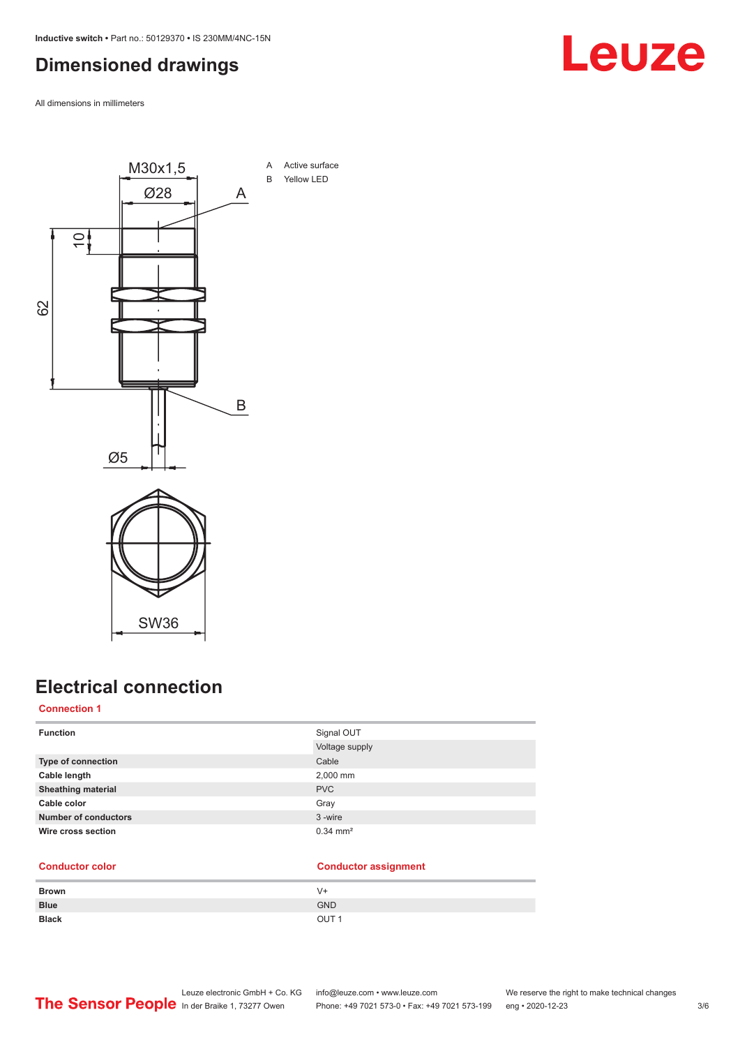# <span id="page-2-0"></span>**Dimensioned drawings**

All dimensions in millimeters



# **Electrical connection**

**Connection 1**

| <b>Function</b>             | Signal OUT            |
|-----------------------------|-----------------------|
|                             | Voltage supply        |
| Type of connection          | Cable                 |
| Cable length                | 2,000 mm              |
| <b>Sheathing material</b>   | <b>PVC</b>            |
| Cable color                 | Gray                  |
| <b>Number of conductors</b> | 3-wire                |
| Wire cross section          | $0.34 \, \text{mm}^2$ |

## **Conductor color Conductor assignment**

| <b>Brown</b> | V+               |
|--------------|------------------|
| <b>Blue</b>  | <b>GND</b>       |
| <b>Black</b> | OUT <sub>1</sub> |

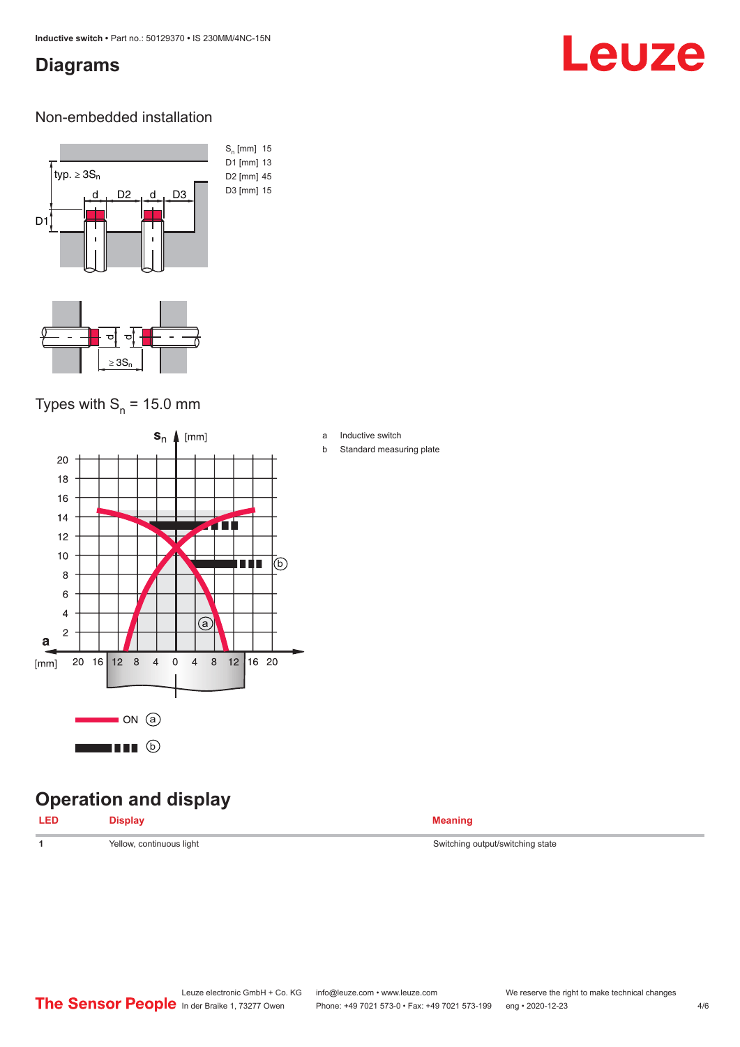## <span id="page-3-0"></span>**Diagrams**

# Leuze

#### Non-embedded installation



# Types with  $S_n$  = 15.0 mm



# **Operation and display**

| <b>LED</b> | <b>Display</b> | <b>Meaning</b> |
|------------|----------------|----------------|
|            |                |                |

a Inductive switch

b Standard measuring plate

**1** Yellow, continuous light Switching output/switching state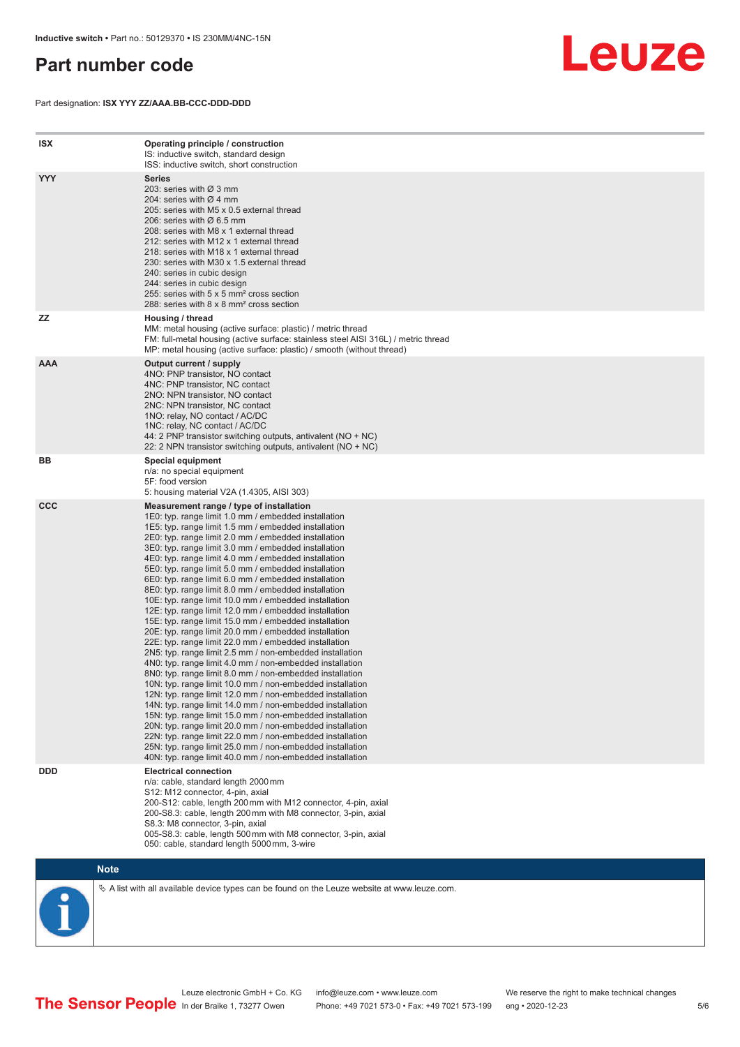## <span id="page-4-0"></span>**Part number code**

Part designation: **ISX YYY ZZ/AAA.BB-CCC-DDD-DDD**



| <b>ISX</b> | Operating principle / construction<br>IS: inductive switch, standard design<br>ISS: inductive switch, short construction                                                                                                                                                                                                                                                                                                                                                                                                                                                                                                                                                                                                                                                                                                                                                                                                                                                                                                                                                                                                                                                                                                                                                                                                                                                                                                                                                                          |
|------------|---------------------------------------------------------------------------------------------------------------------------------------------------------------------------------------------------------------------------------------------------------------------------------------------------------------------------------------------------------------------------------------------------------------------------------------------------------------------------------------------------------------------------------------------------------------------------------------------------------------------------------------------------------------------------------------------------------------------------------------------------------------------------------------------------------------------------------------------------------------------------------------------------------------------------------------------------------------------------------------------------------------------------------------------------------------------------------------------------------------------------------------------------------------------------------------------------------------------------------------------------------------------------------------------------------------------------------------------------------------------------------------------------------------------------------------------------------------------------------------------------|
| <b>YYY</b> | <b>Series</b><br>203: series with Ø 3 mm<br>204: series with $\varnothing$ 4 mm<br>205: series with M5 x 0.5 external thread<br>206: series with $\varnothing$ 6.5 mm<br>208: series with M8 x 1 external thread<br>212: series with M12 x 1 external thread<br>218: series with M18 x 1 external thread<br>230: series with M30 x 1.5 external thread<br>240: series in cubic design<br>244: series in cubic design<br>255: series with 5 x 5 mm <sup>2</sup> cross section<br>288: series with 8 x 8 mm <sup>2</sup> cross section                                                                                                                                                                                                                                                                                                                                                                                                                                                                                                                                                                                                                                                                                                                                                                                                                                                                                                                                                              |
| <b>ZZ</b>  | Housing / thread<br>MM: metal housing (active surface: plastic) / metric thread<br>FM: full-metal housing (active surface: stainless steel AISI 316L) / metric thread<br>MP: metal housing (active surface: plastic) / smooth (without thread)                                                                                                                                                                                                                                                                                                                                                                                                                                                                                                                                                                                                                                                                                                                                                                                                                                                                                                                                                                                                                                                                                                                                                                                                                                                    |
| <b>AAA</b> | Output current / supply<br>4NO: PNP transistor, NO contact<br>4NC: PNP transistor, NC contact<br>2NO: NPN transistor, NO contact<br>2NC: NPN transistor, NC contact<br>1NO: relay, NO contact / AC/DC<br>1NC: relay, NC contact / AC/DC<br>44: 2 PNP transistor switching outputs, antivalent (NO + NC)<br>22: 2 NPN transistor switching outputs, antivalent (NO + NC)                                                                                                                                                                                                                                                                                                                                                                                                                                                                                                                                                                                                                                                                                                                                                                                                                                                                                                                                                                                                                                                                                                                           |
| BB         | <b>Special equipment</b><br>n/a: no special equipment<br>5F: food version<br>5: housing material V2A (1.4305, AISI 303)                                                                                                                                                                                                                                                                                                                                                                                                                                                                                                                                                                                                                                                                                                                                                                                                                                                                                                                                                                                                                                                                                                                                                                                                                                                                                                                                                                           |
| <b>CCC</b> | Measurement range / type of installation<br>1E0: typ. range limit 1.0 mm / embedded installation<br>1E5: typ. range limit 1.5 mm / embedded installation<br>2E0: typ. range limit 2.0 mm / embedded installation<br>3E0: typ. range limit 3.0 mm / embedded installation<br>4E0: typ. range limit 4.0 mm / embedded installation<br>5E0: typ. range limit 5.0 mm / embedded installation<br>6E0: typ. range limit 6.0 mm / embedded installation<br>8E0: typ. range limit 8.0 mm / embedded installation<br>10E: typ. range limit 10.0 mm / embedded installation<br>12E: typ. range limit 12.0 mm / embedded installation<br>15E: typ. range limit 15.0 mm / embedded installation<br>20E: typ. range limit 20.0 mm / embedded installation<br>22E: typ. range limit 22.0 mm / embedded installation<br>2N5: typ. range limit 2.5 mm / non-embedded installation<br>4N0: typ. range limit 4.0 mm / non-embedded installation<br>8N0: typ. range limit 8.0 mm / non-embedded installation<br>10N: typ. range limit 10.0 mm / non-embedded installation<br>12N: typ. range limit 12.0 mm / non-embedded installation<br>14N: typ. range limit 14.0 mm / non-embedded installation<br>15N: typ. range limit 15.0 mm / non-embedded installation<br>20N: typ. range limit 20.0 mm / non-embedded installation<br>22N: typ. range limit 22.0 mm / non-embedded installation<br>25N: typ. range limit 25.0 mm / non-embedded installation<br>40N: typ. range limit 40.0 mm / non-embedded installation |
| <b>DDD</b> | <b>Electrical connection</b><br>n/a: cable, standard length 2000 mm<br>S12: M12 connector, 4-pin, axial<br>200-S12: cable, length 200 mm with M12 connector, 4-pin, axial<br>200-S8.3: cable, length 200 mm with M8 connector, 3-pin, axial<br>S8.3: M8 connector, 3-pin, axial<br>005-S8.3: cable, length 500 mm with M8 connector, 3-pin, axial<br>050: cable, standard length 5000 mm, 3-wire                                                                                                                                                                                                                                                                                                                                                                                                                                                                                                                                                                                                                                                                                                                                                                                                                                                                                                                                                                                                                                                                                                  |



 $\%$  A list with all available device types can be found on the Leuze website at www.leuze.com.

Leuze electronic GmbH + Co. KG info@leuze.com • www.leuze.com We reserve the right to make technical changes In der Braike 1, 73277 Owen Phone: +49 7021 573-0 • Fax: +49 7021 573-199 eng • 2020-12-23